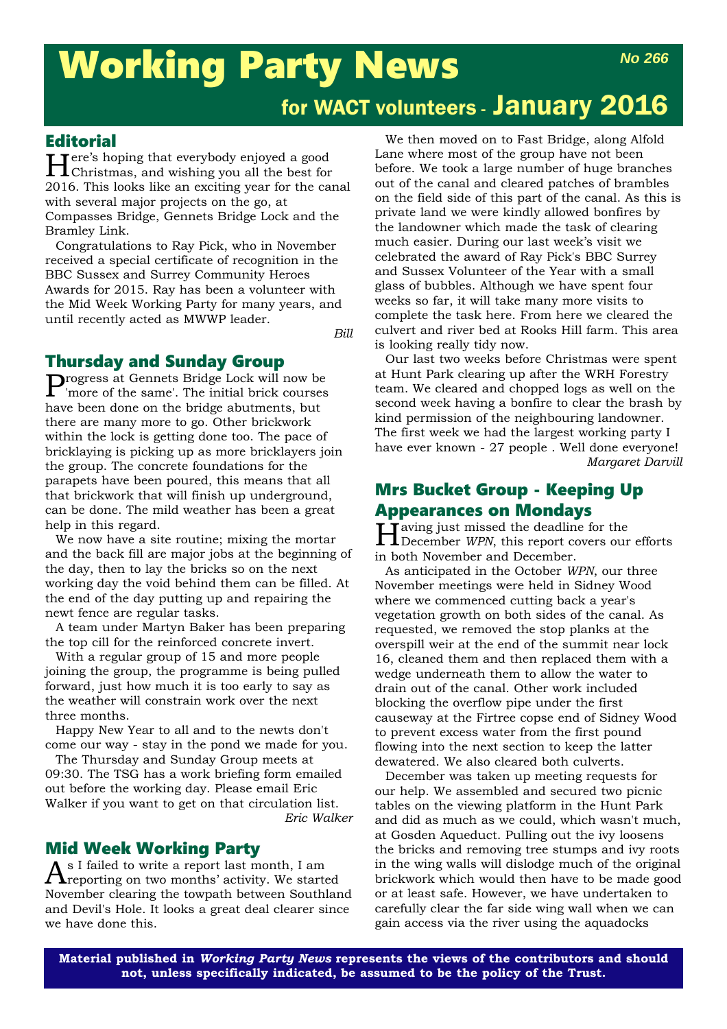# Working Party News *No 266*

# for WACT volunteers - January 2016

### **Editorial**

Here's hoping that everybody enjoyed a good Christmas, and wishing you all the best for 2016. This looks like an exciting year for the canal with several major projects on the go, at Compasses Bridge, Gennets Bridge Lock and the Bramley Link.

Congratulations to Ray Pick, who in November received a special certificate of recognition in the BBC Sussex and Surrey Community Heroes Awards for 2015. Ray has been a volunteer with the Mid Week Working Party for many years, and until recently acted as MWWP leader.

*Bill*

### Thursday and Sunday Group

Progress at Gennets Bridge Lock will now be 'more of the same'. The initial brick courses have been done on the bridge abutments, but there are many more to go. Other brickwork within the lock is getting done too. The pace of bricklaying is picking up as more bricklayers join the group. The concrete foundations for the parapets have been poured, this means that all that brickwork that will finish up underground, can be done. The mild weather has been a great help in this regard.

We now have a site routine; mixing the mortar and the back fill are major jobs at the beginning of the day, then to lay the bricks so on the next working day the void behind them can be filled. At the end of the day putting up and repairing the newt fence are regular tasks.

A team under Martyn Baker has been preparing the top cill for the reinforced concrete invert.

With a regular group of 15 and more people joining the group, the programme is being pulled forward, just how much it is too early to say as the weather will constrain work over the next three months.

Happy New Year to all and to the newts don't come our way - stay in the pond we made for you.

The Thursday and Sunday Group meets at 09:30. The TSG has a work briefing form emailed out before the working day. Please email Eric Walker if you want to get on that circulation list. *Eric Walker*

### Mid Week Working Party

 $A^{\text{s I failed to write a report last month, I am}}$  reporting on two months' activity. We started November clearing the towpath between Southland and Devil's Hole. It looks a great deal clearer since we have done this.

We then moved on to Fast Bridge, along Alfold Lane where most of the group have not been before. We took a large number of huge branches out of the canal and cleared patches of brambles on the field side of this part of the canal. As this is private land we were kindly allowed bonfires by the landowner which made the task of clearing much easier. During our last week's visit we celebrated the award of Ray Pick's BBC Surrey and Sussex Volunteer of the Year with a small glass of bubbles. Although we have spent four weeks so far, it will take many more visits to complete the task here. From here we cleared the culvert and river bed at Rooks Hill farm. This area is looking really tidy now.

Our last two weeks before Christmas were spent at Hunt Park clearing up after the WRH Forestry team. We cleared and chopped logs as well on the second week having a bonfire to clear the brash by kind permission of the neighbouring landowner. The first week we had the largest working party I have ever known - 27 people . Well done everyone! *Margaret Darvill*

## Mrs Bucket Group - Keeping Up Appearances on Mondays

Having just missed the deadline for the December *WPN*, this report covers our efforts in both November and December.

As anticipated in the October *WPN*, our three November meetings were held in Sidney Wood where we commenced cutting back a year's vegetation growth on both sides of the canal. As requested, we removed the stop planks at the overspill weir at the end of the summit near lock 16, cleaned them and then replaced them with a wedge underneath them to allow the water to drain out of the canal. Other work included blocking the overflow pipe under the first causeway at the Firtree copse end of Sidney Wood to prevent excess water from the first pound flowing into the next section to keep the latter dewatered. We also cleared both culverts.

December was taken up meeting requests for our help. We assembled and secured two picnic tables on the viewing platform in the Hunt Park and did as much as we could, which wasn't much, at Gosden Aqueduct. Pulling out the ivy loosens the bricks and removing tree stumps and ivy roots in the wing walls will dislodge much of the original brickwork which would then have to be made good or at least safe. However, we have undertaken to carefully clear the far side wing wall when we can gain access via the river using the aquadocks

**Material published in** *Working Party News* **represents the views of the contributors and should not, unless specifically indicated, be assumed to be the policy of the Trust.**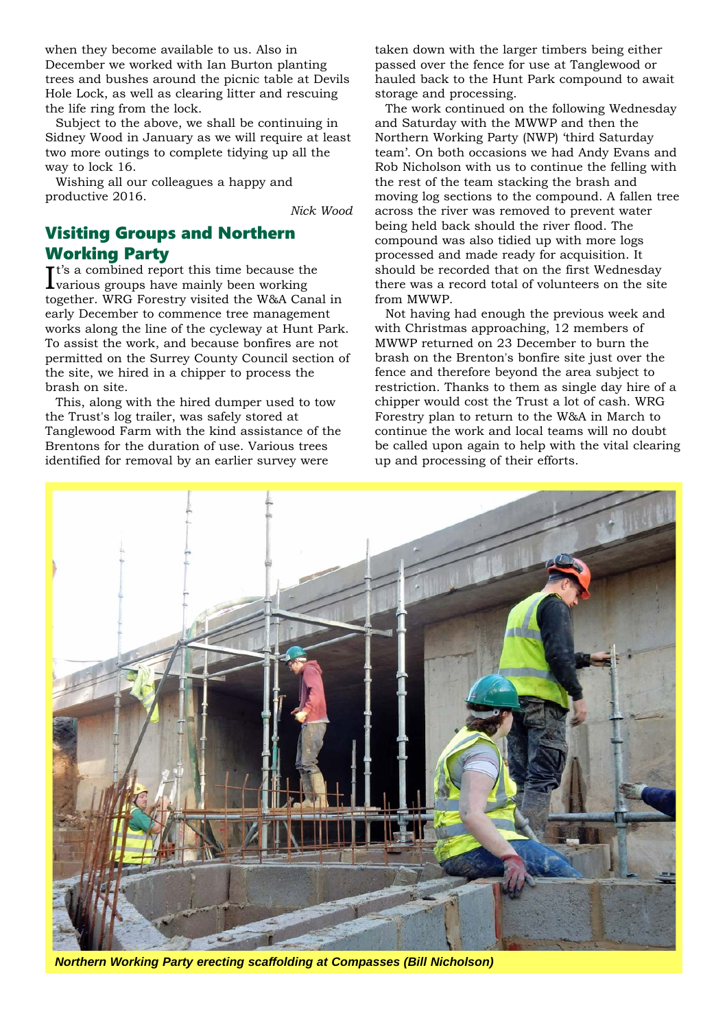when they become available to us. Also in December we worked with Ian Burton planting trees and bushes around the picnic table at Devils Hole Lock, as well as clearing litter and rescuing the life ring from the lock.

Subject to the above, we shall be continuing in Sidney Wood in January as we will require at least two more outings to complete tidying up all the way to lock 16.

Wishing all our colleagues a happy and productive 2016.

*Nick Wood*

# Visiting Groups and Northern Working Party

It's a combined report this time because the<br>Ivarious groups have mainly been working **L** various groups have mainly been working together. WRG Forestry visited the W&A Canal in early December to commence tree management works along the line of the cycleway at Hunt Park. To assist the work, and because bonfires are not permitted on the Surrey County Council section of the site, we hired in a chipper to process the brash on site.

This, along with the hired dumper used to tow the Trust's log trailer, was safely stored at Tanglewood Farm with the kind assistance of the Brentons for the duration of use. Various trees identified for removal by an earlier survey were

taken down with the larger timbers being either passed over the fence for use at Tanglewood or hauled back to the Hunt Park compound to await storage and processing.

The work continued on the following Wednesday and Saturday with the MWWP and then the Northern Working Party (NWP) 'third Saturday team'. On both occasions we had Andy Evans and Rob Nicholson with us to continue the felling with the rest of the team stacking the brash and moving log sections to the compound. A fallen tree across the river was removed to prevent water being held back should the river flood. The compound was also tidied up with more logs processed and made ready for acquisition. It should be recorded that on the first Wednesday there was a record total of volunteers on the site from MWWP.

Not having had enough the previous week and with Christmas approaching, 12 members of MWWP returned on 23 December to burn the brash on the Brenton's bonfire site just over the fence and therefore beyond the area subject to restriction. Thanks to them as single day hire of a chipper would cost the Trust a lot of cash. WRG Forestry plan to return to the W&A in March to continue the work and local teams will no doubt be called upon again to help with the vital clearing up and processing of their efforts.



*Northern Working Party erecting scaffolding at Compasses (Bill Nicholson)*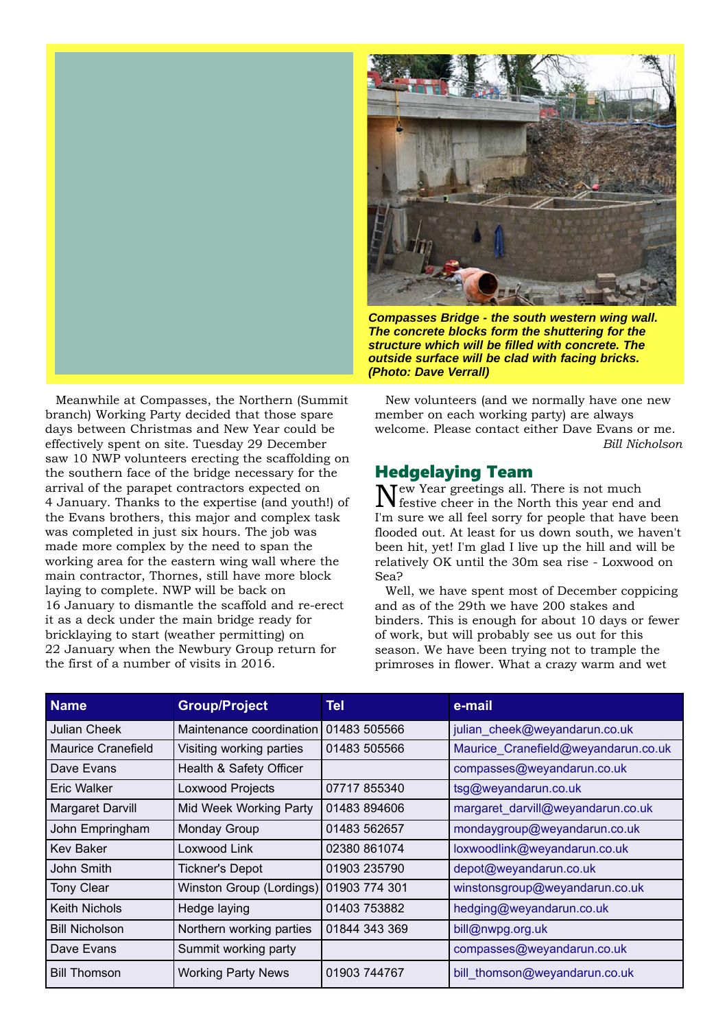

Meanwhile at Compasses, the Northern (Summit branch) Working Party decided that those spare days between Christmas and New Year could be effectively spent on site. Tuesday 29 December saw 10 NWP volunteers erecting the scaffolding on the southern face of the bridge necessary for the arrival of the parapet contractors expected on 4 January. Thanks to the expertise (and youth!) of the Evans brothers, this major and complex task was completed in just six hours. The job was made more complex by the need to span the working area for the eastern wing wall where the main contractor, Thornes, still have more block laying to complete. NWP will be back on 16 January to dismantle the scaffold and re-erect it as a deck under the main bridge ready for bricklaying to start (weather permitting) on 22 January when the Newbury Group return for the first of a number of visits in 2016.



*Compasses Bridge - the south western wing wall. The concrete blocks form the shuttering for the structure which will be filled with concrete. The outside surface will be clad with facing bricks. (Photo: Dave Verrall)*

New volunteers (and we normally have one new member on each working party) are always welcome. Please contact either Dave Evans or me. *Bill Nicholson* 

## Hedgelaying Team

Tew Year greetings all. There is not much festive cheer in the North this year end and I'm sure we all feel sorry for people that have been flooded out. At least for us down south, we haven't been hit, yet! I'm glad I live up the hill and will be relatively OK until the 30m sea rise - Loxwood on Sea?

Well, we have spent most of December coppicing and as of the 29th we have 200 stakes and binders. This is enough for about 10 days or fewer of work, but will probably see us out for this season. We have been trying not to trample the primroses in flower. What a crazy warm and wet

| <b>Name</b>           | <b>Group/Project</b>      | Tel           | e-mail                              |
|-----------------------|---------------------------|---------------|-------------------------------------|
| Julian Cheek          | Maintenance coordination  | 01483 505566  | julian cheek@weyandarun.co.uk       |
| Maurice Cranefield    | Visiting working parties  | 01483 505566  | Maurice_Cranefield@weyandarun.co.uk |
| Dave Evans            | Health & Safety Officer   |               | compasses@weyandarun.co.uk          |
| Eric Walker           | Loxwood Projects          | 07717 855340  | tsg@weyandarun.co.uk                |
| Margaret Darvill      | Mid Week Working Party    | 01483 894606  | margaret_darvill@weyandarun.co.uk   |
| John Empringham       | Monday Group              | 01483 562657  | mondaygroup@weyandarun.co.uk        |
| <b>Key Baker</b>      | Loxwood Link              | 02380 861074  | loxwoodlink@weyandarun.co.uk        |
| John Smith            | <b>Tickner's Depot</b>    | 01903 235790  | depot@weyandarun.co.uk              |
| <b>Tony Clear</b>     | Winston Group (Lordings)  | 01903 774 301 | winstonsgroup@weyandarun.co.uk      |
| <b>Keith Nichols</b>  | Hedge laying              | 01403 753882  | hedging@weyandarun.co.uk            |
| <b>Bill Nicholson</b> | Northern working parties  | 01844 343 369 | bill@nwpg.org.uk                    |
| Dave Evans            | Summit working party      |               | compasses@weyandarun.co.uk          |
| <b>Bill Thomson</b>   | <b>Working Party News</b> | 01903 744767  | bill_thomson@weyandarun.co.uk       |